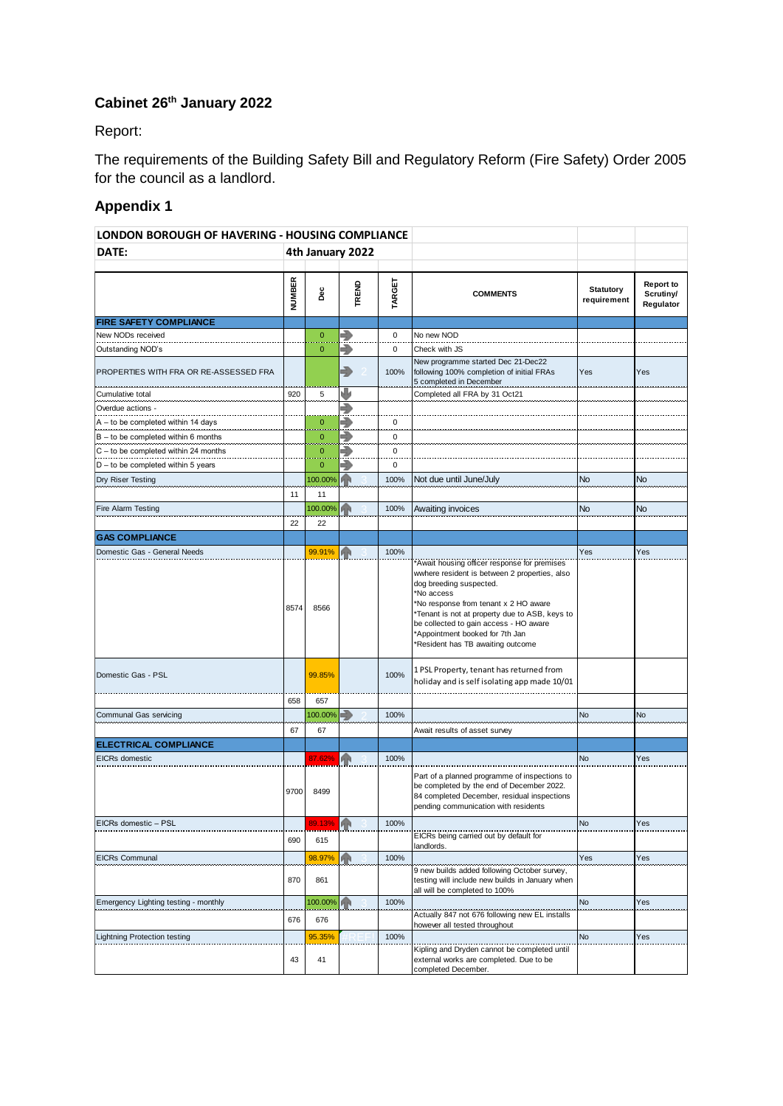## **Cabinet 26th January 2022**

Report:

The requirements of the Building Safety Bill and Regulatory Reform (Fire Safety) Order 2005 for the council as a landlord.

## **Appendix 1**

| LONDON BOROUGH OF HAVERING - HOUSING COMPLIANCE |                  |                |       |        |                                                                                                                                                                                                                                                                                                                                                  |                                 |                                            |
|-------------------------------------------------|------------------|----------------|-------|--------|--------------------------------------------------------------------------------------------------------------------------------------------------------------------------------------------------------------------------------------------------------------------------------------------------------------------------------------------------|---------------------------------|--------------------------------------------|
| DATE:                                           | 4th January 2022 |                |       |        |                                                                                                                                                                                                                                                                                                                                                  |                                 |                                            |
|                                                 | <b>NUMBER</b>    | Dec            | TREND | TARGET | <b>COMMENTS</b>                                                                                                                                                                                                                                                                                                                                  | <b>Statutory</b><br>requirement | <b>Report to</b><br>Scrutiny/<br>Regulator |
| <b>FIRE SAFETY COMPLIANCE</b>                   |                  |                |       |        |                                                                                                                                                                                                                                                                                                                                                  |                                 |                                            |
| New NODs received                               |                  | $\overline{0}$ | ⋑     | 0      | No new NOD                                                                                                                                                                                                                                                                                                                                       |                                 |                                            |
| Outstanding NOD's                               |                  | 0              | ◆     | 0      | Check with JS                                                                                                                                                                                                                                                                                                                                    |                                 |                                            |
| PROPERTIES WITH FRA OR RE-ASSESSED FRA          |                  |                | ♣     | 100%   | New programme started Dec 21-Dec22<br>following 100% completion of initial FRAs<br>5 completed in December                                                                                                                                                                                                                                       | Yes                             | Yes                                        |
| Cumulative total                                | 920              | 5              |       |        | Completed all FRA by 31 Oct21                                                                                                                                                                                                                                                                                                                    |                                 |                                            |
| Overdue actions -                               |                  |                | ∍     |        |                                                                                                                                                                                                                                                                                                                                                  |                                 |                                            |
| $A -$ to be completed within 14 days            |                  | $\overline{0}$ | 5     | 0      |                                                                                                                                                                                                                                                                                                                                                  |                                 |                                            |
| $B -$ to be completed within 6 months           |                  | $\overline{0}$ | Ð     | 0      |                                                                                                                                                                                                                                                                                                                                                  |                                 |                                            |
| C - to be completed within 24 months            |                  | 0              | Ð     | 0      |                                                                                                                                                                                                                                                                                                                                                  |                                 |                                            |
| $D -$ to be completed within 5 years            |                  | 0              | 7     | 0      |                                                                                                                                                                                                                                                                                                                                                  |                                 |                                            |
| Dry Riser Testing                               |                  | 100.00%        |       | 100%   | Not due until June/July                                                                                                                                                                                                                                                                                                                          | No                              | No                                         |
|                                                 | 11               | 11             |       |        |                                                                                                                                                                                                                                                                                                                                                  |                                 |                                            |
| Fire Alarm Testing                              |                  | 100.00%        |       | 100%   | Awaiting invoices                                                                                                                                                                                                                                                                                                                                | No                              | <b>No</b>                                  |
|                                                 | 22               | 22             |       |        |                                                                                                                                                                                                                                                                                                                                                  |                                 |                                            |
| <b>GAS COMPLIANCE</b>                           |                  |                |       |        |                                                                                                                                                                                                                                                                                                                                                  |                                 |                                            |
| Domestic Gas - General Needs                    |                  | 99.91%         | ИΝ    | 100%   |                                                                                                                                                                                                                                                                                                                                                  | Yes                             | Yes                                        |
|                                                 | 8574             | 8566           |       |        | Await housing officer response for premises<br>wwhere resident is between 2 properties, also<br>dog breeding suspected.<br>*No access<br>*No response from tenant x 2 HO aware<br>Tenant is not at property due to ASB, keys to<br>be collected to gain access - HO aware<br>*Appointment booked for 7th Jan<br>Resident has TB awaiting outcome |                                 |                                            |
| Domestic Gas - PSL                              |                  | 99.85%         |       | 100%   | 1 PSL Property, tenant has returned from<br>holiday and is self isolating app made 10/01                                                                                                                                                                                                                                                         |                                 |                                            |
|                                                 | 658              | 657            |       |        |                                                                                                                                                                                                                                                                                                                                                  |                                 |                                            |
| Communal Gas servicing                          |                  | 100.00%        | ∍     | 100%   |                                                                                                                                                                                                                                                                                                                                                  | No                              | No                                         |
|                                                 | 67               | 67             |       |        | Await results of asset survey                                                                                                                                                                                                                                                                                                                    |                                 |                                            |
| <b>ELECTRICAL COMPLIANCE</b>                    |                  |                |       |        |                                                                                                                                                                                                                                                                                                                                                  |                                 |                                            |
| <b>EICRs</b> domestic                           |                  | 87.62%         | 命     | 100%   |                                                                                                                                                                                                                                                                                                                                                  | No                              | Yes                                        |
|                                                 | 9700             | 8499           |       |        | Part of a planned programme of inspections to<br>be completed by the end of December 2022.<br>84 completed December, residual inspections<br>pending communication with residents                                                                                                                                                                |                                 |                                            |
| EICRs domestic - PSL                            |                  | 89.13%         | 个     | 100%   |                                                                                                                                                                                                                                                                                                                                                  | <b>No</b>                       | Yes                                        |
|                                                 | 690              | 615            |       |        | EICRs being carried out by default for<br>landlords.                                                                                                                                                                                                                                                                                             |                                 |                                            |
| <b>EICRs Communal</b>                           |                  | 98.97%         |       | 100%   |                                                                                                                                                                                                                                                                                                                                                  | Yes                             | Yes                                        |
|                                                 | 870              | 861            |       |        | 9 new builds added following October survey,<br>testing will include new builds in January when<br>all will be completed to 100%                                                                                                                                                                                                                 |                                 |                                            |
| Emergency Lighting testing - monthly            |                  | 100.00%        |       | 100%   |                                                                                                                                                                                                                                                                                                                                                  | No                              | Yes                                        |
|                                                 | 676              | 676            |       |        | Actually 847 not 676 following new EL installs<br>however all tested throughout                                                                                                                                                                                                                                                                  |                                 |                                            |
| Lightning Protection testing                    |                  | 95.35%         |       | 100%   |                                                                                                                                                                                                                                                                                                                                                  | No                              | Yes                                        |
|                                                 | 43               | 41             |       |        | Kipling and Dryden cannot be completed until<br>external works are completed. Due to be<br>completed December.                                                                                                                                                                                                                                   |                                 |                                            |